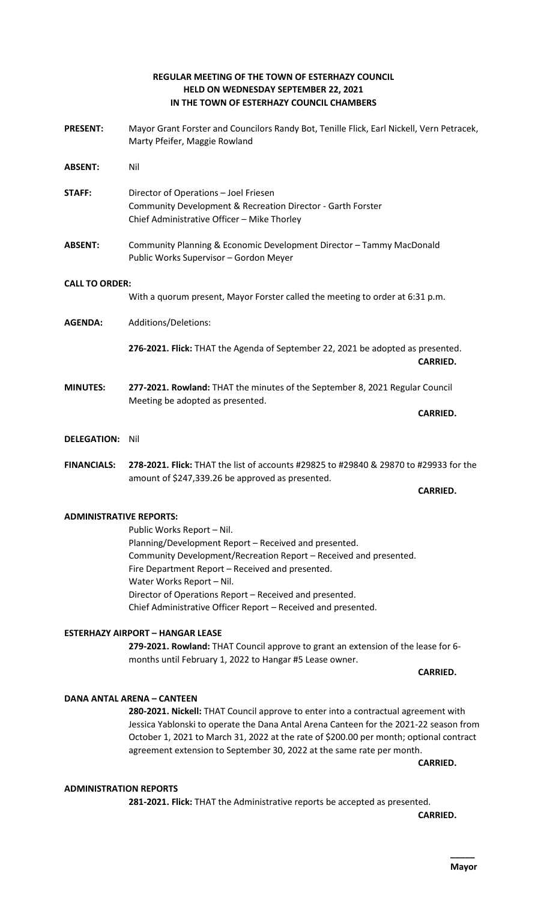# **REGULAR MEETING OF THE TOWN OF ESTERHAZY COUNCIL HELD ON WEDNESDAY SEPTEMBER 22, 2021 IN THE TOWN OF ESTERHAZY COUNCIL CHAMBERS**

**PRESENT:** Mayor Grant Forster and Councilors Randy Bot, Tenille Flick, Earl Nickell, Vern Petracek, Marty Pfeifer, Maggie Rowland **ABSENT:** Nil **STAFF:** Director of Operations – Joel Friesen Community Development & Recreation Director - Garth Forster Chief Administrative Officer – Mike Thorley **ABSENT:** Community Planning & Economic Development Director – Tammy MacDonald Public Works Supervisor – Gordon Meyer **CALL TO ORDER:** With a quorum present, Mayor Forster called the meeting to order at 6:31 p.m. **AGENDA:** Additions/Deletions: **276-2021. Flick:** THAT the Agenda of September 22, 2021 be adopted as presented. **CARRIED. MINUTES: 277-2021. Rowland:** THAT the minutes of the September 8, 2021 Regular Council Meeting be adopted as presented. **CARRIED. DELEGATION:** Nil **FINANCIALS: 278-2021. Flick:** THAT the list of accounts #29825 to #29840 & 29870 to #29933 for the amount of \$247,339.26 be approved as presented. **CARRIED. ADMINISTRATIVE REPORTS:**

> Public Works Report – Nil. Planning/Development Report – Received and presented. Community Development/Recreation Report – Received and presented. Fire Department Report – Received and presented. Water Works Report – Nil. Director of Operations Report – Received and presented. Chief Administrative Officer Report – Received and presented.

# **ESTERHAZY AIRPORT – HANGAR LEASE**

**279-2021. Rowland:** THAT Council approve to grant an extension of the lease for 6 months until February 1, 2022 to Hangar #5 Lease owner.

**CARRIED.**

# **DANA ANTAL ARENA – CANTEEN**

**280-2021. Nickell:** THAT Council approve to enter into a contractual agreement with Jessica Yablonski to operate the Dana Antal Arena Canteen for the 2021-22 season from October 1, 2021 to March 31, 2022 at the rate of \$200.00 per month; optional contract agreement extension to September 30, 2022 at the same rate per month.

**CARRIED.** 

### **ADMINISTRATION REPORTS**

**281-2021. Flick:** THAT the Administrative reports be accepted as presented.

**CARRIED.**